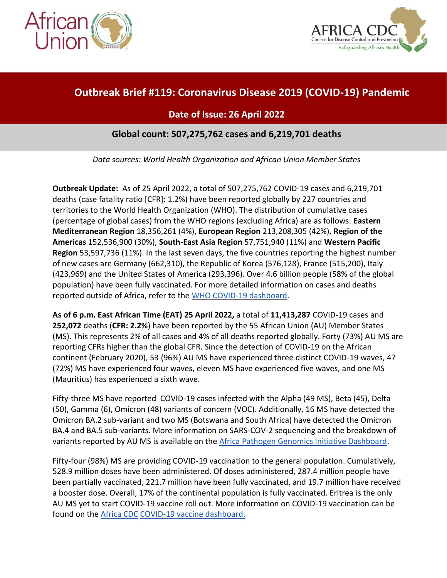



# **Outbreak Brief #119: Coronavirus Disease 2019 (COVID-19) Pandemic**

# **Date of Issue: 26 April 2022**

## **Global count: 507,275,762 cases and 6,219,701 deaths**

*Data sources: World Health Organization and African Union Member States*

**Outbreak Update:** As of 25 April 2022, a total of 507,275,762 COVID-19 cases and 6,219,701 deaths (case fatality ratio [CFR]: 1.2%) have been reported globally by 227 countries and territories to the World Health Organization (WHO). The distribution of cumulative cases (percentage of global cases) from the WHO regions (excluding Africa) are as follows: **Eastern Mediterranean Region** 18,356,261 (4%), **European Region** 213,208,305 (42%), **Region of the Americas** 152,536,900 (30%), **South-East Asia Region** 57,751,940 (11%) and **Western Pacific Region** 53,597,736 (11%). In the last seven days, the five countries reporting the highest number of new cases are Germany (662,310), the Republic of Korea (576,128), France (515,200), Italy (423,969) and the United States of America (293,396). Over 4.6 billion people (58% of the global population) have been fully vaccinated. For more detailed information on cases and deaths reported outside of Africa, refer to the [WHO COVID-19 dashboard.](https://covid19.who.int/)

**As of 6 p.m. East African Time (EAT) 25 April 2022,** a total of **11,413,287** COVID-19 cases and **252,072** deaths (**CFR: 2.2%**) have been reported by the 55 African Union (AU) Member States (MS). This represents 2% of all cases and 4% of all deaths reported globally. Forty (73%) AU MS are reporting CFRs higher than the global CFR. Since the detection of COVID-19 on the African continent (February 2020), 53 (96%) AU MS have experienced three distinct COVID-19 waves, 47 (72%) MS have experienced four waves, eleven MS have experienced five waves, and one MS (Mauritius) has experienced a sixth wave.

Fifty-three MS have reported COVID-19 cases infected with the Alpha (49 MS), Beta (45), Delta (50), Gamma (6), Omicron (48) variants of concern (VOC). Additionally, 16 MS have detected the Omicron BA.2 sub-variant and two MS (Botswana and South Africa) have detected the Omicron BA.4 and BA.5 sub-variants. More information on SARS-COV-2 sequencing and the breakdown of variants reported by AU MS is available on the [Africa Pathogen Genomics Initiative Dashboard.](https://africacdc.org/institutes/africa-pathogen-genomics-initiative/)

Fifty-four (98%) MS are providing COVID-19 vaccination to the general population. Cumulatively, 528.9 million doses have been administered. Of doses administered, 287.4 million people have been partially vaccinated, 221.7 million have been fully vaccinated, and 19.7 million have received a booster dose. Overall, 17% of the continental population is fully vaccinated. Eritrea is the only AU MS yet to start COVID-19 vaccine roll out. More information on COVID-19 vaccination can be found on the [Africa CDC](https://africacdc.org/covid-19-vaccination/) [COVID-19 vaccine dashboard.](https://africacdc.org/covid-19-vaccination/)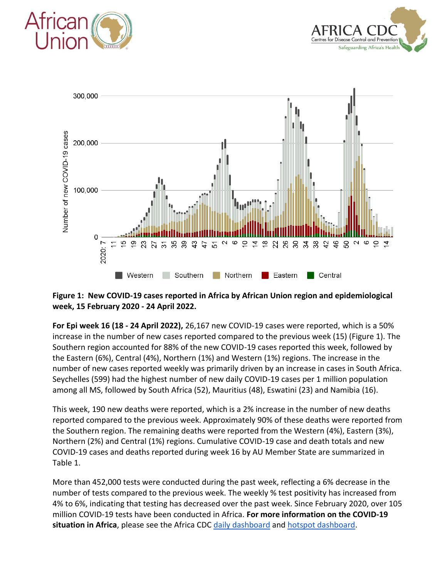





#### **Figure 1: New COVID-19 cases reported in Africa by African Union region and epidemiological week, 15 February 2020 - 24 April 2022.**

**For Epi week 16 (18 - 24 April 2022),** 26,167 new COVID-19 cases were reported, which is a 50% increase in the number of new cases reported compared to the previous week (15) (Figure 1). The Southern region accounted for 88% of the new COVID-19 cases reported this week, followed by the Eastern (6%), Central (4%), Northern (1%) and Western (1%) regions. The increase in the number of new cases reported weekly was primarily driven by an increase in cases in South Africa. Seychelles (599) had the highest number of new daily COVID-19 cases per 1 million population among all MS, followed by South Africa (52), Mauritius (48), Eswatini (23) and Namibia (16).

This week, 190 new deaths were reported, which is a 2% increase in the number of new deaths reported compared to the previous week. Approximately 90% of these deaths were reported from the Southern region. The remaining deaths were reported from the Western (4%), Eastern (3%), Northern (2%) and Central (1%) regions. Cumulative COVID-19 case and death totals and new COVID-19 cases and deaths reported during week 16 by AU Member State are summarized in Table 1.

More than 452,000 tests were conducted during the past week, reflecting a 6% decrease in the number of tests compared to the previous week. The weekly % test positivity has increased from 4% to 6%, indicating that testing has decreased over the past week. Since February 2020, over 105 million COVID-19 tests have been conducted in Africa. **For more information on the COVID-19 situation in Africa**, please see the Africa CDC [daily dashboard](https://africacdc.org/covid-19/) and [hotspot dashboard.](https://africacdc.netlify.app/)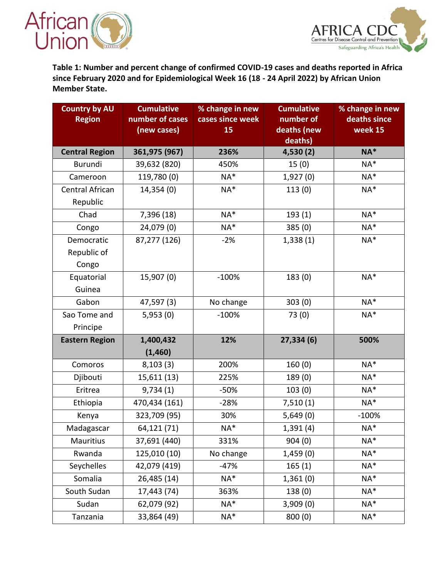



**Table 1: Number and percent change of confirmed COVID-19 cases and deaths reported in Africa since February 2020 and for Epidemiological Week 16 (18 - 24 April 2022) by African Union Member State.**

| <b>Country by AU</b><br><b>Region</b> | <b>Cumulative</b><br>number of cases<br>(new cases) | % change in new<br>cases since week<br>15 | <b>Cumulative</b><br>number of<br>deaths (new | % change in new<br>deaths since<br>week 15 |
|---------------------------------------|-----------------------------------------------------|-------------------------------------------|-----------------------------------------------|--------------------------------------------|
|                                       |                                                     |                                           | deaths)                                       |                                            |
| <b>Central Region</b>                 | 361,975 (967)                                       | 236%                                      | 4,530(2)                                      | $NA*$                                      |
| Burundi                               | 39,632 (820)                                        | 450%                                      | 15(0)                                         | NA*                                        |
| Cameroon                              | 119,780 (0)                                         | $NA*$                                     | 1,927(0)                                      | $NA^*$                                     |
| Central African                       | 14,354 (0)                                          | NA*                                       | 113(0)                                        | $NA^*$                                     |
| Republic                              |                                                     |                                           |                                               |                                            |
| Chad                                  | 7,396 (18)                                          | $NA*$                                     | 193(1)                                        | $NA*$                                      |
| Congo                                 | 24,079 (0)                                          | NA*                                       | 385(0)                                        | $NA*$                                      |
| Democratic                            | 87,277 (126)                                        | $-2%$                                     | 1,338(1)                                      | $NA*$                                      |
| Republic of                           |                                                     |                                           |                                               |                                            |
| Congo                                 |                                                     |                                           |                                               |                                            |
| Equatorial                            | 15,907 (0)                                          | $-100%$                                   | 183(0)                                        | $NA*$                                      |
| Guinea                                |                                                     |                                           |                                               |                                            |
| Gabon                                 | 47,597 (3)                                          | No change                                 | 303(0)                                        | $NA*$                                      |
| Sao Tome and                          | 5,953(0)                                            | $-100%$                                   | 73(0)                                         | $NA*$                                      |
| Principe                              |                                                     |                                           |                                               |                                            |
| <b>Eastern Region</b>                 | 1,400,432                                           | 12%                                       | 27,334(6)                                     | 500%                                       |
|                                       | (1,460)                                             |                                           |                                               |                                            |
| Comoros                               | 8,103(3)                                            | 200%                                      | 160(0)                                        | $NA*$                                      |
| Djibouti                              | 15,611 (13)                                         | 225%                                      | 189 (0)                                       | $NA*$                                      |
| Eritrea                               | 9,734(1)                                            | $-50%$                                    | 103(0)                                        | $NA*$                                      |
| Ethiopia                              | 470,434 (161)                                       | $-28%$                                    | 7,510(1)                                      | $NA*$                                      |
| Kenya                                 | 323,709 (95)                                        | 30%                                       | 5,649(0)                                      | $-100%$                                    |
| Madagascar                            | 64,121 (71)                                         | NA*                                       | 1,391 (4)                                     | NA*                                        |
| Mauritius                             | 37,691 (440)                                        | 331%                                      | 904(0)                                        | $NA*$                                      |
| Rwanda                                | 125,010 (10)                                        | No change                                 | 1,459(0)                                      | $NA^*$                                     |
| Seychelles                            | 42,079 (419)                                        | $-47%$                                    | 165(1)                                        | $NA^*$                                     |
| Somalia                               | 26,485 (14)                                         | $NA^*$                                    | 1,361(0)                                      | $NA*$                                      |
| South Sudan                           | 17,443 (74)                                         | 363%                                      | 138 (0)                                       | $NA*$                                      |
| Sudan                                 | 62,079 (92)                                         | $NA^*$                                    | 3,909(0)                                      | $NA*$                                      |
| Tanzania                              | 33,864 (49)                                         | NA*                                       | 800 (0)                                       | NA*                                        |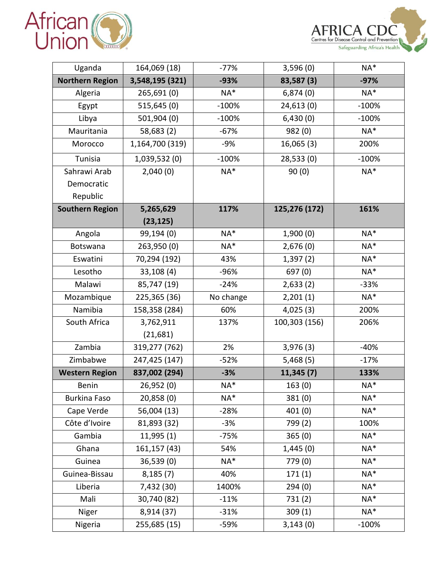



| Uganda                 | 164,069 (18)    | $-77%$    | 3,596(0)      | $NA*$   |
|------------------------|-----------------|-----------|---------------|---------|
| <b>Northern Region</b> | 3,548,195 (321) | $-93%$    | 83,587 (3)    | $-97%$  |
| Algeria                | 265,691 (0)     | $NA*$     | 6,874(0)      | $NA^*$  |
| Egypt                  | 515,645(0)      | $-100%$   | 24,613(0)     | $-100%$ |
| Libya                  | 501,904 (0)     | $-100%$   | 6,430(0)      | $-100%$ |
| Mauritania             | 58,683 (2)      | $-67%$    | 982 (0)       | $NA*$   |
| Morocco                | 1,164,700 (319) | $-9%$     | 16,065(3)     | 200%    |
| Tunisia                | 1,039,532 (0)   | $-100%$   | 28,533(0)     | $-100%$ |
| Sahrawi Arab           | 2,040(0)        | NA*       | 90(0)         | $NA^*$  |
| Democratic             |                 |           |               |         |
| Republic               |                 |           |               |         |
| <b>Southern Region</b> | 5,265,629       | 117%      | 125,276 (172) | 161%    |
|                        | (23, 125)       |           |               |         |
| Angola                 | 99,194 (0)      | $NA*$     | 1,900(0)      | $NA*$   |
| Botswana               | 263,950 (0)     | $NA*$     | 2,676(0)      | $NA*$   |
| Eswatini               | 70,294 (192)    | 43%       | 1,397(2)      | $NA^*$  |
| Lesotho                | 33,108(4)       | -96%      | 697 (0)       | $NA^*$  |
| Malawi                 | 85,747 (19)     | $-24%$    | 2,633(2)      | $-33%$  |
| Mozambique             | 225,365 (36)    | No change | 2,201(1)      | NA*     |
| Namibia                | 158,358 (284)   | 60%       | 4,025(3)      | 200%    |
| South Africa           | 3,762,911       | 137%      | 100,303 (156) | 206%    |
|                        | (21, 681)       |           |               |         |
| Zambia                 | 319,277 (762)   | 2%        | 3,976(3)      | $-40%$  |
| Zimbabwe               | 247,425 (147)   | $-52%$    | 5,468(5)      | $-17%$  |
| <b>Western Region</b>  | 837,002 (294)   | $-3%$     | 11,345(7)     | 133%    |
| Benin                  | 26,952 (0)      | NA*       | 163(0)        | $NA*$   |
| <b>Burkina Faso</b>    | 20,858(0)       | $NA*$     | 381(0)        | $NA*$   |
| Cape Verde             | 56,004 (13)     | $-28%$    | 401(0)        | NA*     |
| Côte d'Ivoire          | 81,893 (32)     | $-3%$     | 799 (2)       | 100%    |
| Gambia                 | 11,995(1)       | $-75%$    | 365(0)        | NA*     |
| Ghana                  | 161,157 (43)    | 54%       | 1,445(0)      | NA*     |
| Guinea                 | 36,539(0)       | NA*       | 779 (0)       | $NA*$   |
| Guinea-Bissau          | 8,185(7)        | 40%       | 171(1)        | $NA*$   |
| Liberia                | 7,432 (30)      | 1400%     | 294(0)        | $NA*$   |
| Mali                   | 30,740 (82)     | $-11%$    | 731(2)        | NA*     |
| Niger                  | 8,914 (37)      | $-31%$    | 309(1)        | $NA^*$  |
| Nigeria                | 255,685 (15)    | -59%      | 3,143(0)      | $-100%$ |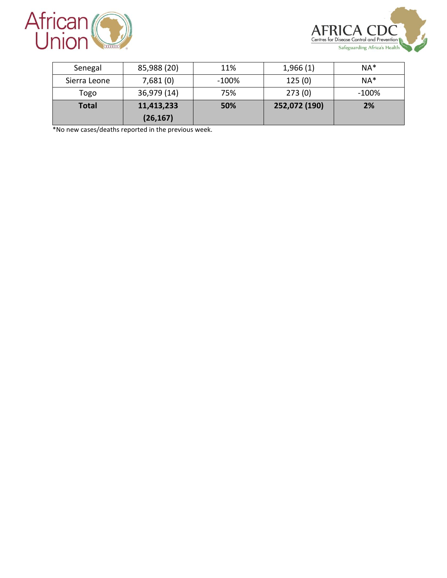



| Senegal      | 85,988 (20)             | 11%      | 1,966(1)      | $NA*$    |
|--------------|-------------------------|----------|---------------|----------|
| Sierra Leone | 7,681(0)                | $-100\%$ | 125(0)        | $NA*$    |
| Togo         | 36,979 (14)             | 75%      | 273(0)        | $-100\%$ |
| <b>Total</b> | 11,413,233<br>(26, 167) | 50%      | 252,072 (190) | 2%       |

\*No new cases/deaths reported in the previous week.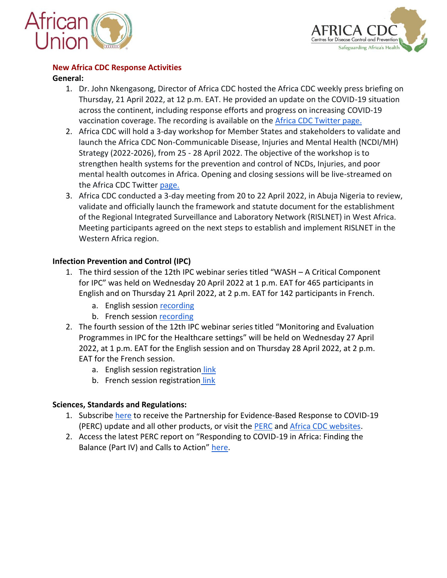



## **New Africa CDC Response Activities**

# **General:**

- 1. Dr. John Nkengasong, Director of Africa CDC hosted the Africa CDC weekly press briefing on Thursday, 21 April 2022, at 12 p.m. EAT. He provided an update on the COVID-19 situation across the continent, including response efforts and progress on increasing COVID-19 vaccination coverage. The recording is available on the [Africa CDC Twitter page.](https://twitter.com/AfricaCDC/status/1517065484125962240)
- 2. Africa CDC will hold a 3-day workshop for Member States and stakeholders to validate and launch the Africa CDC Non-Communicable Disease, Injuries and Mental Health (NCDI/MH) Strategy (2022-2026), from 25 - 28 April 2022. The objective of the workshop is to strengthen health systems for the prevention and control of NCDs, Injuries, and poor mental health outcomes in Africa. Opening and closing sessions will be live-streamed on the Africa CDC Twitter [page.](https://twitter.com/AfricaCDC/status/1518497910249312256)
- 3. Africa CDC conducted a 3-day meeting from 20 to 22 April 2022, in Abuja Nigeria to review, validate and officially launch the framework and statute document for the establishment of the Regional Integrated Surveillance and Laboratory Network (RISLNET) in West Africa. Meeting participants agreed on the next steps to establish and implement RISLNET in the Western Africa region.

# **Infection Prevention and Control (IPC)**

- 1. The third session of the 12th IPC webinar series titled "WASH A Critical Component for IPC" was held on Wednesday 20 April 2022 at 1 p.m. EAT for 465 participants in English and on Thursday 21 April 2022, at 2 p.m. EAT for 142 participants in French.
	- a. English session [recording](https://youtu.be/1Z_ZqsHDrT4)
	- b. French session [recording](https://zoom.us/rec/share/khEYqiNsURxrXTocqClblaRvmEgQz2PrS7HoEhKXIcrKS4Edat9pFawQDouccDUK.8ElMLtv5-n6ZFLSR)
- 2. The fourth session of the 12th IPC webinar series titled "Monitoring and Evaluation Programmes in IPC for the Healthcare settings" will be held on Wednesday 27 April 2022, at 1 p.m. EAT for the English session and on Thursday 28 April 2022, at 2 p.m. EAT for the French session.
	- a. English session registration [link](https://zoom.us/webinar/register/WN_f-t7sPdsR36vRYpIlh0U3w)
	- b. French session registration [link](https://zoom.us/webinar/register/WN_KREVIaM3QBGluZIfDtIVng)

# **Sciences, Standards and Regulations:**

- 1. Subscribe [here](https://vitalstrategies.us10.list-manage.com/subscribe?u=ec2f19f3689a04a265f3fe14d&id=61919db911) to receive the Partnership for Evidence-Based Response to COVID-19 (PERC) update and all other products, or visit the [PERC](https://preventepidemics.org/covid19/perc/) and [Africa CDC websites.](https://africacdc.org/covid-19/)
- 2. Access the latest PERC report on "Responding to COVID-19 in Africa: Finding the Balance (Part IV) and Calls to Action" [here.](https://africacdc.org/download/responding-to-covid-19-in-africa-finding-the-balance-part-iv-and-calls-to-action/)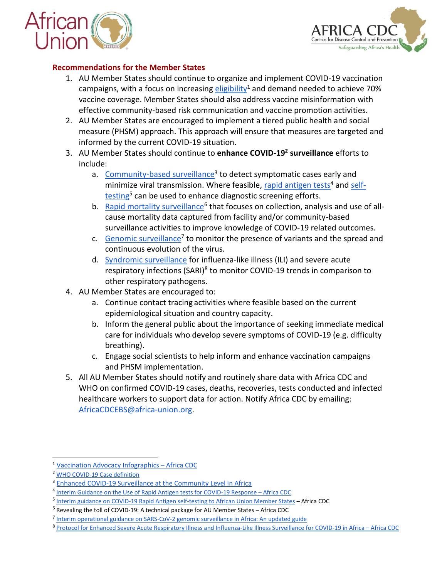



## **Recommendations for the Member States**

- 1. AU Member States should continue to organize and implement COVID-19 vaccination campaigns, with a focus on increasing [eligibility](https://africacdc.org/download/vaccination-advocacy-infographics/)<sup>1</sup> and demand needed to achieve 70% vaccine coverage. Member States should also address vaccine misinformation with effective community-based risk communication and vaccine promotion activities.
- 2. AU Member States are encouraged to implement a tiered public health and social measure (PHSM) approach. This approach will ensure that measures are targeted and informed by the current COVID-19 situation.
- 3. AU Member States should continue to **enhance COVID-19<sup>2</sup> surveillance** efforts to include:
	- a. [Community-based surveillance](https://africacdc.org/download/enhanced-covid-19-surveillance-at-the-community-level-in-africa/)<sup>3</sup> to detect symptomatic cases early and minimize viral transmission. Where feasible, [rapid antigen tests](https://africacdc.org/download/interim-guidance-on-the-use-of-rapid-antigen-tests-for-covid-19-response/)<sup>4</sup> an[d self](https://africacdc.org/download/interim-guidance-on-covid-19-rapid-antigen-selftesting-to-african-union-member-states/)[testing](https://africacdc.org/download/interim-guidance-on-covid-19-rapid-antigen-selftesting-to-african-union-member-states/)<sup>5</sup> can be used to enhance diagnostic screening efforts.
	- b. [Rapid mortality surveillance](https://africacdc.org/download/revealing-the-toll-of-covid-19-a-technical-package-for-rapid-mortality-surveillance-and-epidemic-response/)<sup>6</sup> that focuses on collection, analysis and use of allcause mortality data captured from facility and/or community-based surveillance activities to improve knowledge of COVID-19 related outcomes.
	- c. [Genomic surveillance](https://africacdc.org/download/interim-operational-guidance-on-sars-cov-2-genomic-surveillance-in-africa-an-updated-guide/)<sup>7</sup> to monitor the presence of variants and the spread and continuous evolution of the virus.
	- d. [Syndromic surveillance](https://africacdc.org/download/protocol-for-enhanced-severe-acute-respiratory-illness-and-influenza-like-illness-surveillance-for-covid-19-in-africa/) for influenza-like illness (ILI) and severe acute respiratory infections (SARI)<sup>8</sup> to monitor COVID-19 trends in comparison to other respiratory pathogens.
- 4. AU Member States are encouraged to:
	- a. Continue contact tracing activities where feasible based on the current epidemiological situation and country capacity.
	- b. Inform the general public about the importance of seeking immediate medical care for individuals who develop severe symptoms of COVID-19 (e.g. difficulty breathing).
	- c. Engage social scientists to help inform and enhance vaccination campaigns and PHSM implementation.
- 5. All AU Member States should notify and routinely share data with Africa CDC and WHO on confirmed COVID-19 cases, deaths, recoveries, tests conducted and infected healthcare workers to support data for action. Notify Africa CDC by emailing: AfricaCDCEBS@africa-union.org.

 $\overline{a}$ 

<sup>1</sup> [Vaccination Advocacy Infographics](https://africacdc.org/download/vaccination-advocacy-infographics/) – Africa CDC

<sup>2</sup> [WHO COVID-19 Case definition](https://www.who.int/publications/i/item/WHO-2019-nCoV-Surveillance_Case_Definition-2020.2)

<sup>3</sup> [Enhanced COVID-19 Surveillance at the Community Level in Africa](https://africacdc.org/download/enhanced-covid-19-surveillance-at-the-community-level-in-africa/)

<sup>&</sup>lt;sup>4</sup> [Interim Guidance on the Use of Rapid Antigen tests for COVID-19 Response](https://africacdc.org/download/interim-guidance-on-the-use-of-rapid-antigen-tests-for-covid-19-response/) - Africa CDC

<sup>&</sup>lt;sup>5</sup> [Interim guidance on COVID-19 Rapid Antigen self-testing to African Union Member States](https://africacdc.org/download/interim-guidance-on-covid-19-rapid-antigen-selftesting-to-african-union-member-states/) - Africa CDC

<sup>6</sup> [Revealing the toll of COVID-19: A technical package for AU Member States](https://africacdc.org/download/revealing-the-toll-of-covid-19-a-technical-package-for-rapid-mortality-surveillance-and-epidemic-response/) – Africa CDC

<sup>&</sup>lt;sup>7</sup> [Interim operational guidance on SARS-CoV-2 genomic surveillance in Africa: An updated guide](https://africacdc.org/download/interim-operational-guidance-on-sars-cov-2-genomic-surveillance-in-africa-an-updated-guide/)

<sup>8</sup> [Protocol for Enhanced Severe Acute Respiratory Illness and Influenza-Like Illness Surveillance for COVID-19 in Africa](https://africacdc.org/download/protocol-for-enhanced-severe-acute-respiratory-illness-and-influenza-like-illness-surveillance-for-covid-19-in-africa/) – Africa CDC